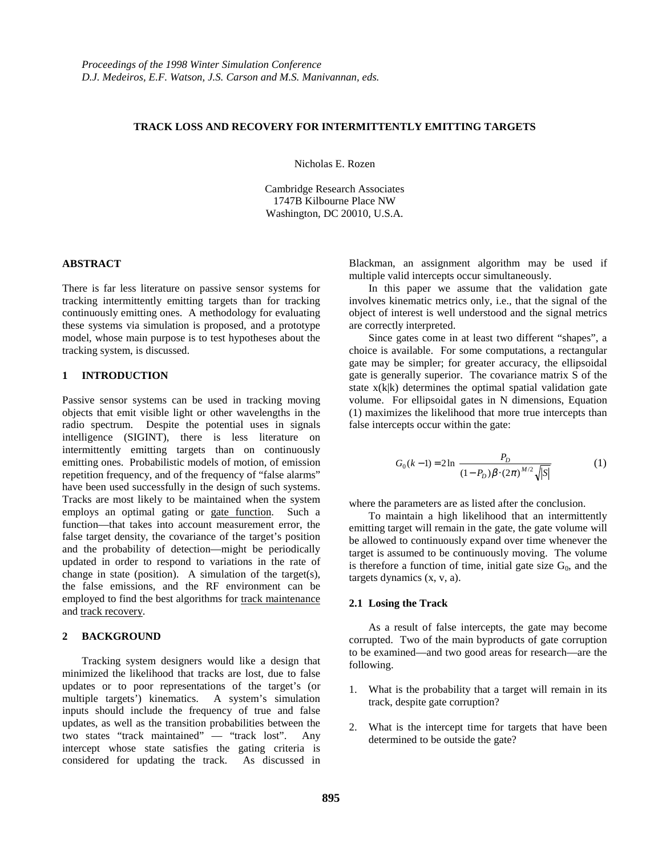# **TRACK LOSS AND RECOVERY FOR INTERMITTENTLY EMITTING TARGETS**

Nicholas E. Rozen

Cambridge Research Associates 1747B Kilbourne Place NW Washington, DC 20010, U.S.A.

## **ABSTRACT**

There is far less literature on passive sensor systems for tracking intermittently emitting targets than for tracking continuously emitting ones. A methodology for evaluating these systems via simulation is proposed, and a prototype model, whose main purpose is to test hypotheses about the tracking system, is discussed.

### **1 INTRODUCTION**

Passive sensor systems can be used in tracking moving objects that emit visible light or other wavelengths in the radio spectrum. Despite the potential uses in signals intelligence (SIGINT), there is less literature on intermittently emitting targets than on continuously emitting ones. Probabilistic models of motion, of emission repetition frequency, and of the frequency of "false alarms" have been used successfully in the design of such systems. Tracks are most likely to be maintained when the system employs an optimal gating or gate function. Such a function—that takes into account measurement error, the false target density, the covariance of the target's position and the probability of detection—might be periodically updated in order to respond to variations in the rate of change in state (position). A simulation of the target(s), the false emissions, and the RF environment can be employed to find the best algorithms for track maintenance and track recovery.

### **2 BACKGROUND**

Tracking system designers would like a design that minimized the likelihood that tracks are lost, due to false updates or to poor representations of the target's (or multiple targets') kinematics. A system's simulation inputs should include the frequency of true and false updates, as well as the transition probabilities between the two states "track maintained" — "track lost". Any intercept whose state satisfies the gating criteria is considered for updating the track. As discussed in

Blackman, an assignment algorithm may be used if multiple valid intercepts occur simultaneously.

In this paper we assume that the validation gate involves kinematic metrics only, i.e., that the signal of the object of interest is well understood and the signal metrics are correctly interpreted.

Since gates come in at least two different "shapes", a choice is available. For some computations, a rectangular gate may be simpler; for greater accuracy, the ellipsoidal gate is generally superior. The covariance matrix S of the state x(k|k) determines the optimal spatial validation gate volume. For ellipsoidal gates in N dimensions, Equation (1) maximizes the likelihood that more true intercepts than false intercepts occur within the gate:

$$
G_0(k-1) = 2\ln\left[\frac{P_D}{(1 - P_D)\beta \cdot (2\pi)^{M/2}\sqrt{|S|}}\right]
$$
 (1)

where the parameters are as listed after the conclusion.

To maintain a high likelihood that an intermittently emitting target will remain in the gate, the gate volume will be allowed to continuously expand over time whenever the target is assumed to be continuously moving. The volume is therefore a function of time, initial gate size  $G_0$ , and the targets dynamics (x, v, a).

## **2.1 Losing the Track**

As a result of false intercepts, the gate may become corrupted. Two of the main byproducts of gate corruption to be examined—and two good areas for research—are the following.

- 1. What is the probability that a target will remain in its track, despite gate corruption?
- 2. What is the intercept time for targets that have been determined to be outside the gate?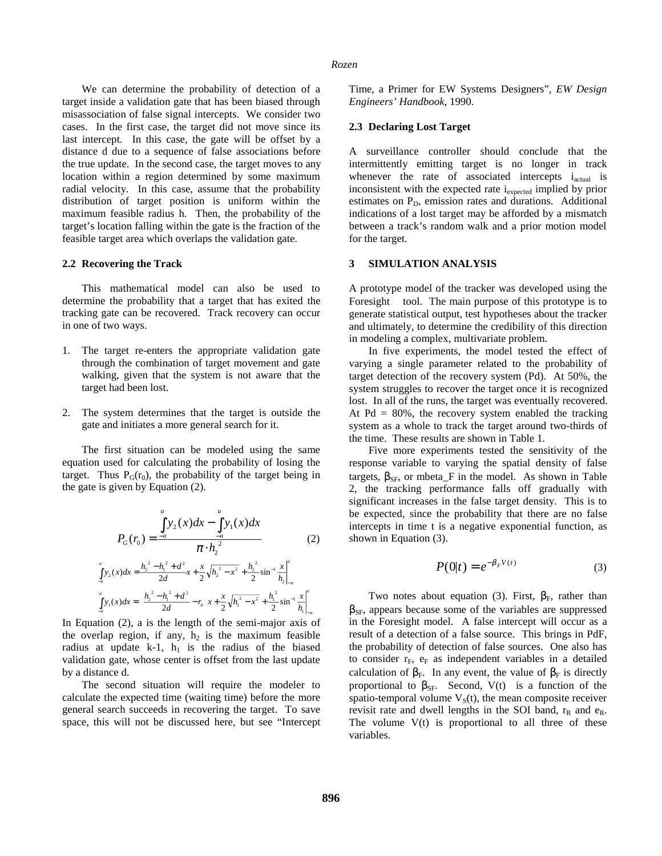We can determine the probability of detection of a target inside a validation gate that has been biased through misassociation of false signal intercepts. We consider two cases. In the first case, the target did not move since its last intercept. In this case, the gate will be offset by a distance d due to a sequence of false associations before the true update. In the second case, the target moves to any location within a region determined by some maximum radial velocity. In this case, assume that the probability distribution of target position is uniform within the maximum feasible radius h. Then, the probability of the target's location falling within the gate is the fraction of the feasible target area which overlaps the validation gate.

#### **2.2 Recovering the Track**

This mathematical model can also be used to determine the probability that a target that has exited the tracking gate can be recovered. Track recovery can occur in one of two ways.

- 1. The target re-enters the appropriate validation gate through the combination of target movement and gate walking, given that the system is not aware that the target had been lost.
- 2. The system determines that the target is outside the gate and initiates a more general search for it.

The first situation can be modeled using the same equation used for calculating the probability of losing the target. Thus  $P_G(r_0)$ , the probability of the target being in the gate is given by Equation (2).

$$
P_G(r_0) = \frac{\int_{-a}^{a} y_2(x)dx - \int_{-a}^{a} y_1(x)dx}{\pi \cdot h_2^2}
$$
(2)  

$$
\int_{-a}^{a} y_2(x)dx = \frac{h_2^2 - h_1^2 + d^2}{2d}x + \frac{x}{2}\sqrt{h_2^2 - x^2} + \frac{h_2^2}{2}\sin^{-1}\frac{x}{h_2}\Big|_{-a}^{a}
$$
  

$$
\int_{-a}^{a} y_1(x)dx = \left(\frac{h_2^2 - h_1^2 + d^2}{2d} - r_0\right)x + \frac{x}{2}\sqrt{h_1^2 - x^2} + \frac{h_1^2}{2}\sin^{-1}\frac{x}{h_1}\Big|_{-a}^{a}
$$

In Equation (2), a is the length of the semi-major axis of the overlap region, if any,  $h_2$  is the maximum feasible radius at update k-1,  $h_1$  is the radius of the biased validation gate, whose center is offset from the last update by a distance d.

The second situation will require the modeler to calculate the expected time (waiting time) before the more general search succeeds in recovering the target. To save space, this will not be discussed here, but see "Intercept Time, a Primer for EW Systems Designers", *EW Design Engineers' Handbook*, 1990.

## **2.3 Declaring Lost Target**

A surveillance controller should conclude that the intermittently emitting target is no longer in track whenever the rate of associated intercepts  $i_{actual}$  is inconsistent with the expected rate  $i_{expected}$  implied by prior estimates on  $P<sub>D</sub>$ , emission rates and durations. Additional indications of a lost target may be afforded by a mismatch between a track's random walk and a prior motion model for the target.

### **3 SIMULATION ANALYSIS**

A prototype model of the tracker was developed using the Foresight<sup> $TM$ </sup> tool. The main purpose of this prototype is to generate statistical output, test hypotheses about the tracker and ultimately, to determine the credibility of this direction in modeling a complex, multivariate problem.

In five experiments, the model tested the effect of varying a single parameter related to the probability of target detection of the recovery system (Pd). At 50%, the system struggles to recover the target once it is recognized lost. In all of the runs, the target was eventually recovered. At Pd  $= 80\%$ , the recovery system enabled the tracking system as a whole to track the target around two-thirds of the time. These results are shown in Table 1.

Five more experiments tested the sensitivity of the response variable to varying the spatial density of false targets,  $\beta_{SE}$ , or mbeta F in the model. As shown in Table 2, the tracking performance falls off gradually with significant increases in the false target density. This is to be expected, since the probability that there are no false intercepts in time t is a negative exponential function, as shown in Equation (3).

$$
P(0|t) = e^{-\beta_F V(t)} \tag{3}
$$

Two notes about equation (3). First,  $\beta_F$ , rather than  $\beta_{\rm SF}$ , appears because some of the variables are suppressed in the Foresight model. A false intercept will occur as a result of a detection of a false source. This brings in PdF, the probability of detection of false sources. One also has to consider  $r_F$ ,  $e_F$  as independent variables in a detailed calculation of  $\beta_F$ . In any event, the value of  $\beta_F$  is directly proportional to  $\beta_{SF}$ . Second, V(t) is a function of the spatio-temporal volume  $V<sub>S</sub>(t)$ , the mean composite receiver revisit rate and dwell lengths in the SOI band,  $r_R$  and  $e_R$ . The volume  $V(t)$  is proportional to all three of these variables.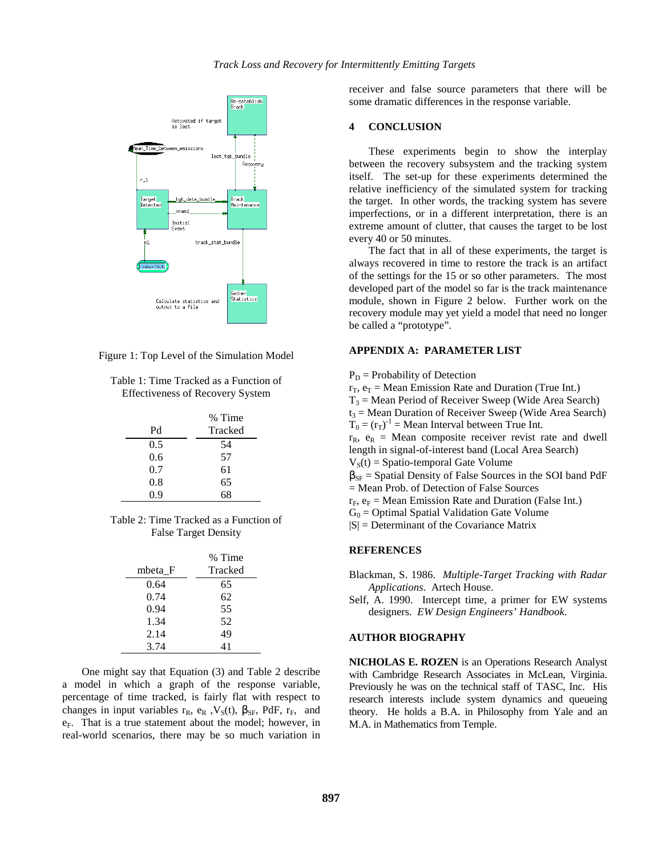

Figure 1: Top Level of the Simulation Model

| Table 1: Time Tracked as a Function of  |
|-----------------------------------------|
| <b>Effectiveness of Recovery System</b> |

|     | % Time  |
|-----|---------|
| Pd  | Tracked |
| 0.5 | 54      |
| 0.6 | 57      |
| 0.7 | 61      |
| 0.8 | 65      |
| 0.9 | 68      |

| Table 2: Time Tracked as a Function of |                             |  |  |
|----------------------------------------|-----------------------------|--|--|
|                                        | <b>False Target Density</b> |  |  |

| mbeta F | % Time<br>Tracked |
|---------|-------------------|
| 0.64    | 65                |
| 0.74    | 62                |
| 0.94    | 55                |
| 1.34    | 52                |
| 2.14    | 49                |
| 3.74    | 41                |

One might say that Equation (3) and Table 2 describe a model in which a graph of the response variable, percentage of time tracked, is fairly flat with respect to changes in input variables  $r_R$ ,  $e_R$ ,  $V_S(t)$ ,  $\beta_{SF}$ , PdF,  $r_F$ , and  $e_F$ . That is a true statement about the model; however, in real-world scenarios, there may be so much variation in receiver and false source parameters that there will be some dramatic differences in the response variable.

## **4 CONCLUSION**

These experiments begin to show the interplay between the recovery subsystem and the tracking system itself. The set-up for these experiments determined the relative inefficiency of the simulated system for tracking the target. In other words, the tracking system has severe imperfections, or in a different interpretation, there is an extreme amount of clutter, that causes the target to be lost every 40 or 50 minutes.

The fact that in all of these experiments, the target is always recovered in time to restore the track is an artifact of the settings for the 15 or so other parameters. The most developed part of the model so far is the track maintenance module, shown in Figure 2 below. Further work on the recovery module may yet yield a model that need no longer be called a "prototype".

# **APPENDIX A: PARAMETER LIST**

 $P_D$  = Probability of Detection

 $r_T$ ,  $e_T$  = Mean Emission Rate and Duration (True Int.)  $T_3$  = Mean Period of Receiver Sweep (Wide Area Search)  $t_3$  = Mean Duration of Receiver Sweep (Wide Area Search)  $T_0 = (r_T)^{-1}$  = Mean Interval between True Int.  $r_{R}$ ,  $e_{R}$  = Mean composite receiver revist rate and dwell length in signal-of-interest band (Local Area Search)  $V<sub>S</sub>(t)$  = Spatio-temporal Gate Volume  $\beta_{\rm SF}$  = Spatial Density of False Sources in the SOI band PdF = Mean Prob. of Detection of False Sources  $r_F$ ,  $e_F$  = Mean Emission Rate and Duration (False Int.)  $G_0$  = Optimal Spatial Validation Gate Volume  $|S|$  = Determinant of the Covariance Matrix

# **REFERENCES**

- Blackman, S. 1986. *Multiple-Target Tracking with Radar Applications*. Artech House.
- Self, A. 1990. Intercept time, a primer for EW systems designers. *EW Design Engineers' Handbook*.

## **AUTHOR BIOGRAPHY**

**NICHOLAS E. ROZEN** is an Operations Research Analyst with Cambridge Research Associates in McLean, Virginia. Previously he was on the technical staff of TASC, Inc. His research interests include system dynamics and queueing theory. He holds a B.A. in Philosophy from Yale and an M.A. in Mathematics from Temple.